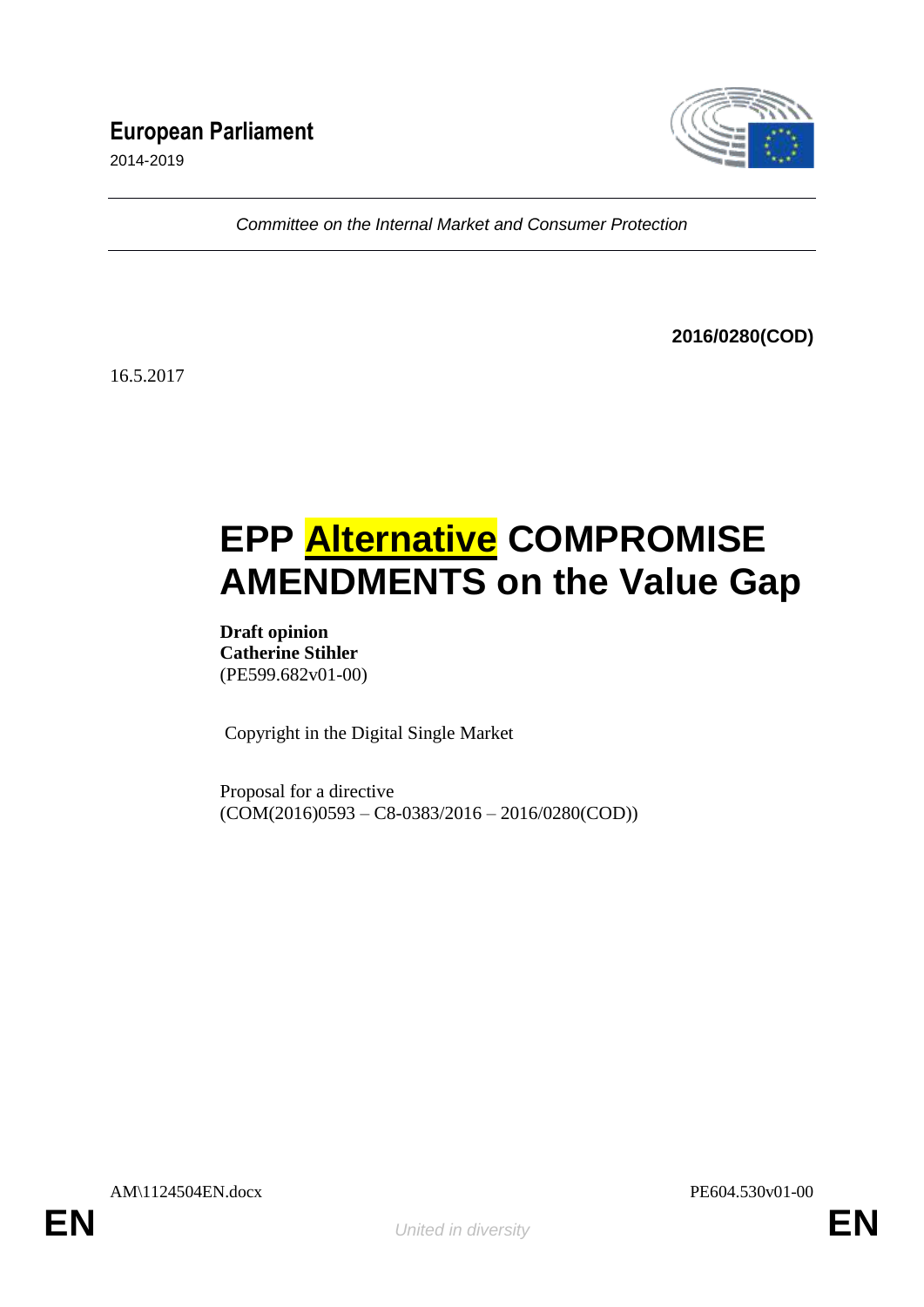# **European Parliament**

2014-2019



*Committee on the Internal Market and Consumer Protection*

**2016/0280(COD)**

16.5.2017

# **EPP Alternative COMPROMISE AMENDMENTS on the Value Gap**

**Draft opinion Catherine Stihler** (PE599.682v01-00)

Copyright in the Digital Single Market

Proposal for a directive  $(COM(2016)0593 - C8-0383/2016 - 2016/0280(COD))$ 

AM\1124504EN.docx PE604.530v01-00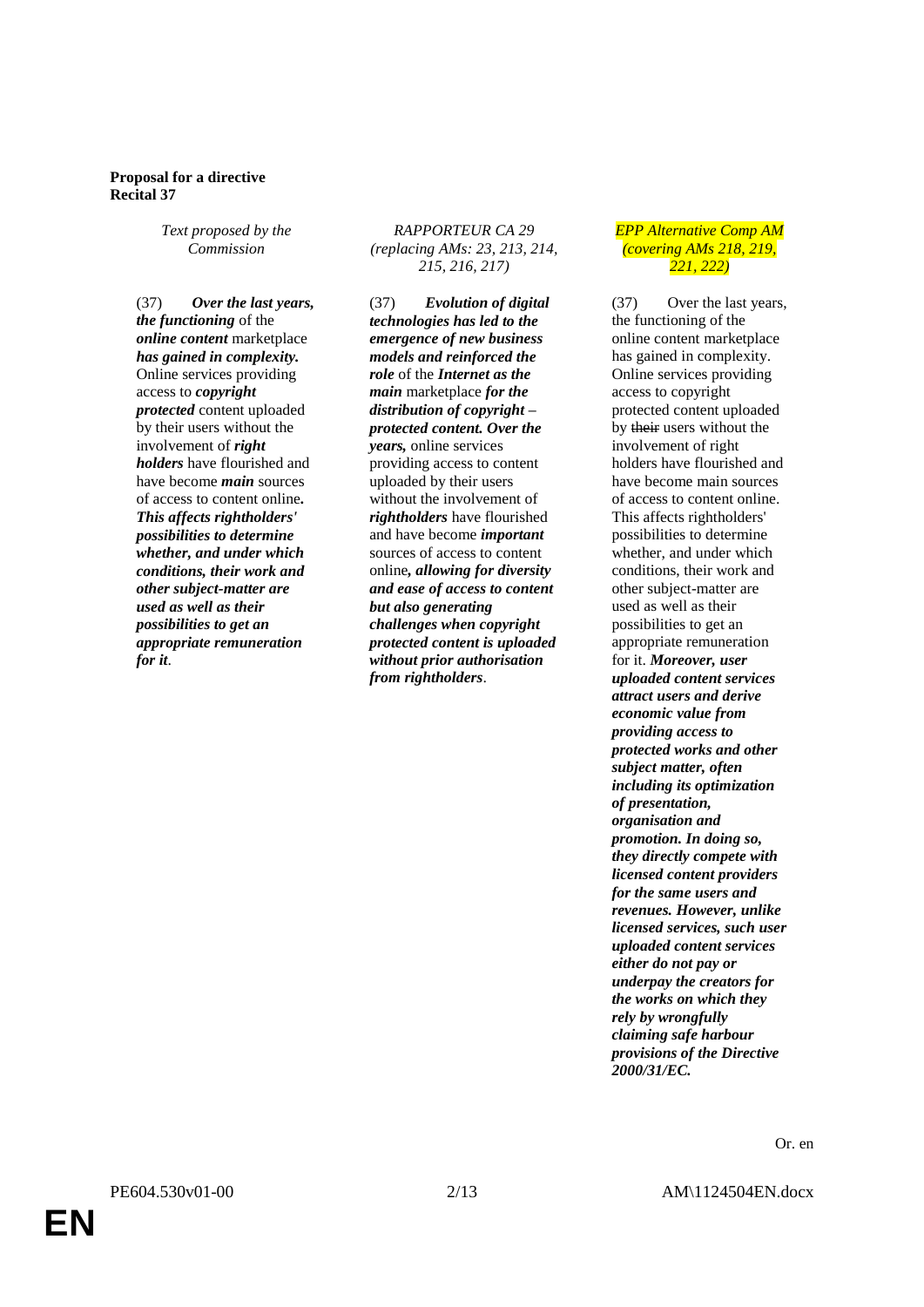#### **Proposal for a directive Recital 37**

*Text proposed by the Commission*

(37) *Over the last years, the functioning* of the *online content* marketplace *has gained in complexity.* Online services providing access to *copyright protected* content uploaded by their users without the involvement of *right holders* have flourished and have become *main* sources of access to content online*. This affects rightholders' possibilities to determine whether, and under which conditions, their work and other subject-matter are used as well as their possibilities to get an appropriate remuneration for it*.

#### *RAPPORTEUR CA 29 (replacing AMs: 23, 213, 214, 215, 216, 217)*

(37) *Evolution of digital technologies has led to the emergence of new business models and reinforced the role* of the *Internet as the main* marketplace *for the distribution of copyright – protected content. Over the years,* online services providing access to content uploaded by their users without the involvement of *rightholders* have flourished and have become *important* sources of access to content online*, allowing for diversity and ease of access to content but also generating challenges when copyright protected content is uploaded without prior authorisation from rightholders*.

#### *EPP Alternative Comp AM (covering AMs 218, 219, 221, 222)*

(37) Over the last years, the functioning of the online content marketplace has gained in complexity. Online services providing access to copyright protected content uploaded by their users without the involvement of right holders have flourished and have become main sources of access to content online. This affects rightholders' possibilities to determine whether, and under which conditions, their work and other subject-matter are used as well as their possibilities to get an appropriate remuneration for it. *Moreover, user uploaded content services attract users and derive economic value from providing access to protected works and other subject matter, often including its optimization of presentation, organisation and promotion. In doing so, they directly compete with licensed content providers for the same users and revenues. However, unlike licensed services, such user uploaded content services either do not pay or underpay the creators for the works on which they rely by wrongfully claiming safe harbour provisions of the Directive 2000/31/EC.*

Or. en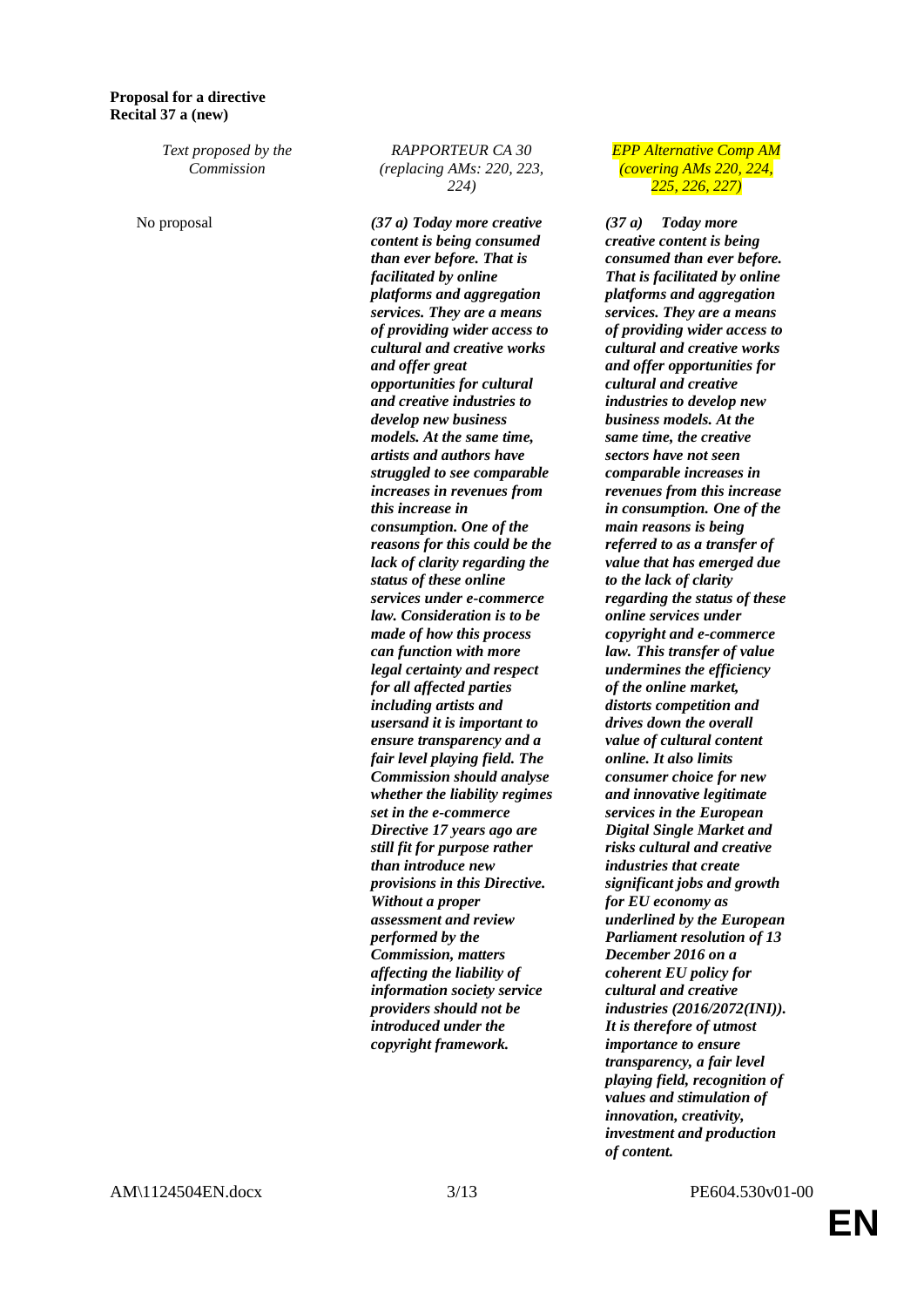#### **Proposal for a directive Recital 37 a (new)**

*Text proposed by the Commission*

#### *RAPPORTEUR CA 30 (replacing AMs: 220, 223, 224)*

No proposal *(37 a) Today more creative content is being consumed than ever before. That is facilitated by online platforms and aggregation services. They are a means of providing wider access to cultural and creative works and offer great opportunities for cultural and creative industries to develop new business models. At the same time, artists and authors have struggled to see comparable increases in revenues from this increase in consumption. One of the reasons for this could be the lack of clarity regarding the status of these online services under e-commerce law. Consideration is to be made of how this process can function with more legal certainty and respect for all affected parties including artists and usersand it is important to ensure transparency and a fair level playing field. The Commission should analyse whether the liability regimes set in the e-commerce Directive 17 years ago are still fit for purpose rather than introduce new provisions in this Directive. Without a proper assessment and review performed by the Commission, matters affecting the liability of information society service providers should not be introduced under the copyright framework.*

*EPP Alternative Comp AM (covering AMs 220, 224, 225, 226, 227)*

*(37 a) Today more creative content is being consumed than ever before. That is facilitated by online platforms and aggregation services. They are a means of providing wider access to cultural and creative works and offer opportunities for cultural and creative industries to develop new business models. At the same time, the creative sectors have not seen comparable increases in revenues from this increase in consumption. One of the main reasons is being referred to as a transfer of value that has emerged due to the lack of clarity regarding the status of these online services under copyright and e-commerce law. This transfer of value undermines the efficiency of the online market, distorts competition and drives down the overall value of cultural content online. It also limits consumer choice for new and innovative legitimate services in the European Digital Single Market and risks cultural and creative industries that create significant jobs and growth for EU economy as underlined by the European Parliament resolution of 13 December 2016 on a coherent EU policy for cultural and creative industries (2016/2072(INI)). It is therefore of utmost importance to ensure transparency, a fair level playing field, recognition of values and stimulation of innovation, creativity, investment and production of content.*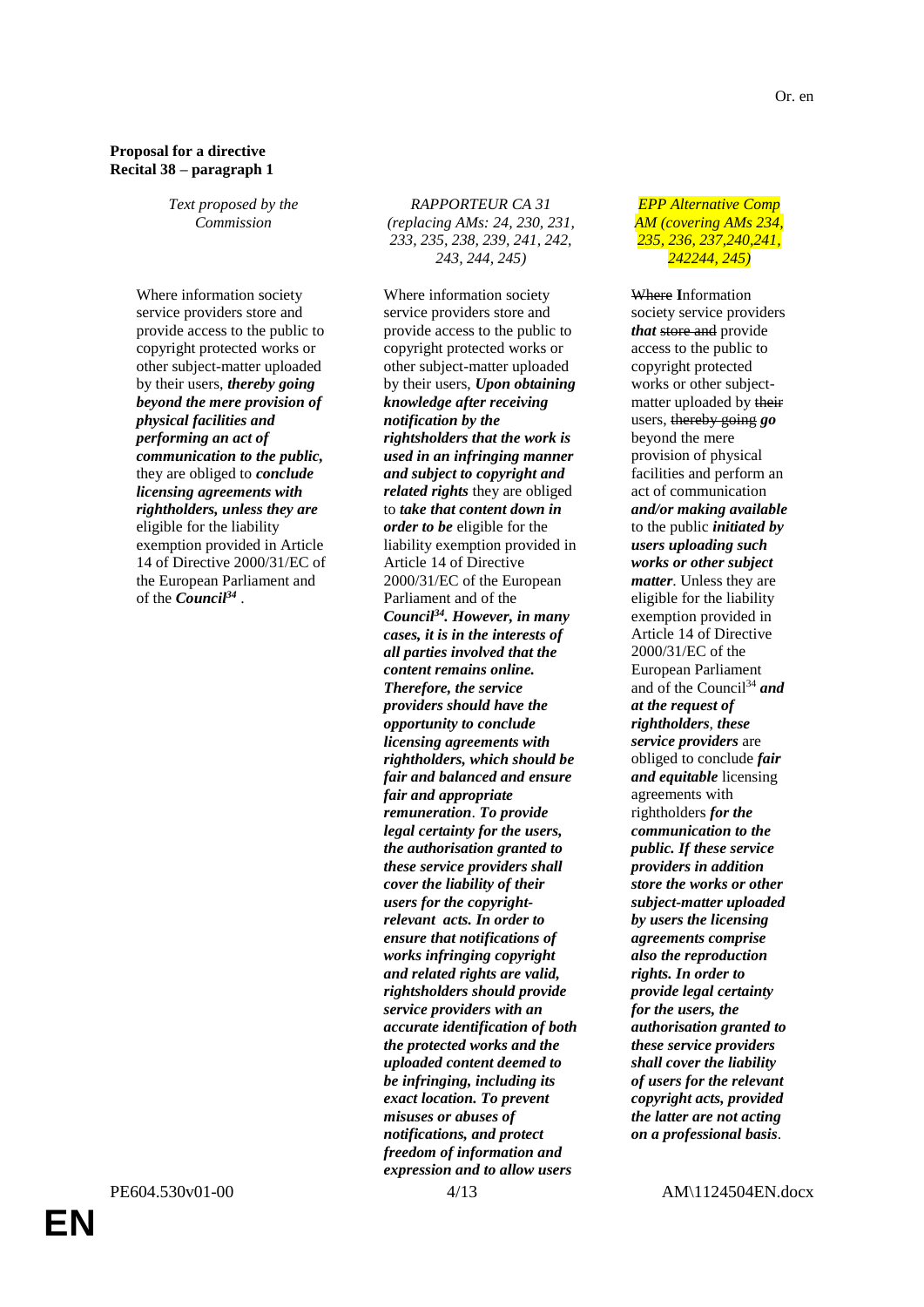# **Proposal for a directive Recital 38 – paragraph 1**

*Text proposed by the Commission*

Where information society service providers store and provide access to the public to copyright protected works or other subject-matter uploaded by their users, *thereby going beyond the mere provision of physical facilities and performing an act of communication to the public,* they are obliged to *conclude licensing agreements with rightholders, unless they are* eligible for the liability exemption provided in Article 14 of Directive 2000/31/EC of the European Parliament and of the *Council<sup>34</sup>* .

**EN**

*RAPPORTEUR CA 31 (replacing AMs: 24, 230, 231, 233, 235, 238, 239, 241, 242, 243, 244, 245)* 

Where information society service providers store and provide access to the public to copyright protected works or other subject-matter uploaded by their users, *Upon obtaining knowledge after receiving notification by the rightsholders that the work is used in an infringing manner and subject to copyright and related rights* they are obliged to *take that content down in order to be* eligible for the liability exemption provided in Article 14 of Directive 2000/31/EC of the European Parliament and of the *Council<sup>34</sup>. However, in many cases, it is in the interests of all parties involved that the content remains online. Therefore, the service providers should have the opportunity to conclude licensing agreements with rightholders, which should be fair and balanced and ensure fair and appropriate remuneration*. *To provide legal certainty for the users, the authorisation granted to these service providers shall cover the liability of their users for the copyrightrelevant acts. In order to ensure that notifications of works infringing copyright and related rights are valid, rightsholders should provide service providers with an accurate identification of both the protected works and the uploaded content deemed to be infringing, including its exact location. To prevent misuses or abuses of notifications, and protect freedom of information and expression and to allow users* 

#### *EPP Alternative Comp AM (covering AMs 234, 235, 236, 237,240,241, 242244, 245)*

Where **I**nformation society service providers *that* store and provide access to the public to copyright protected works or other subjectmatter uploaded by their users, thereby going *go* beyond the mere provision of physical facilities and perform an act of communication *and/or making available* to the public *initiated by users uploading such works or other subject matter*. Unless they are eligible for the liability exemption provided in Article 14 of Directive 2000/31/EC of the European Parliament and of the Council<sup>34</sup> *and at the request of rightholders*, *these service providers* are obliged to conclude *fair and equitable* licensing agreements with rightholders *for the communication to the public. If these service providers in addition store the works or other subject-matter uploaded by users the licensing agreements comprise also the reproduction rights. In order to provide legal certainty for the users, the authorisation granted to these service providers shall cover the liability of users for the relevant copyright acts, provided the latter are not acting on a professional basis*.

PE604.530v01-00 4/13 AM\1124504EN.docx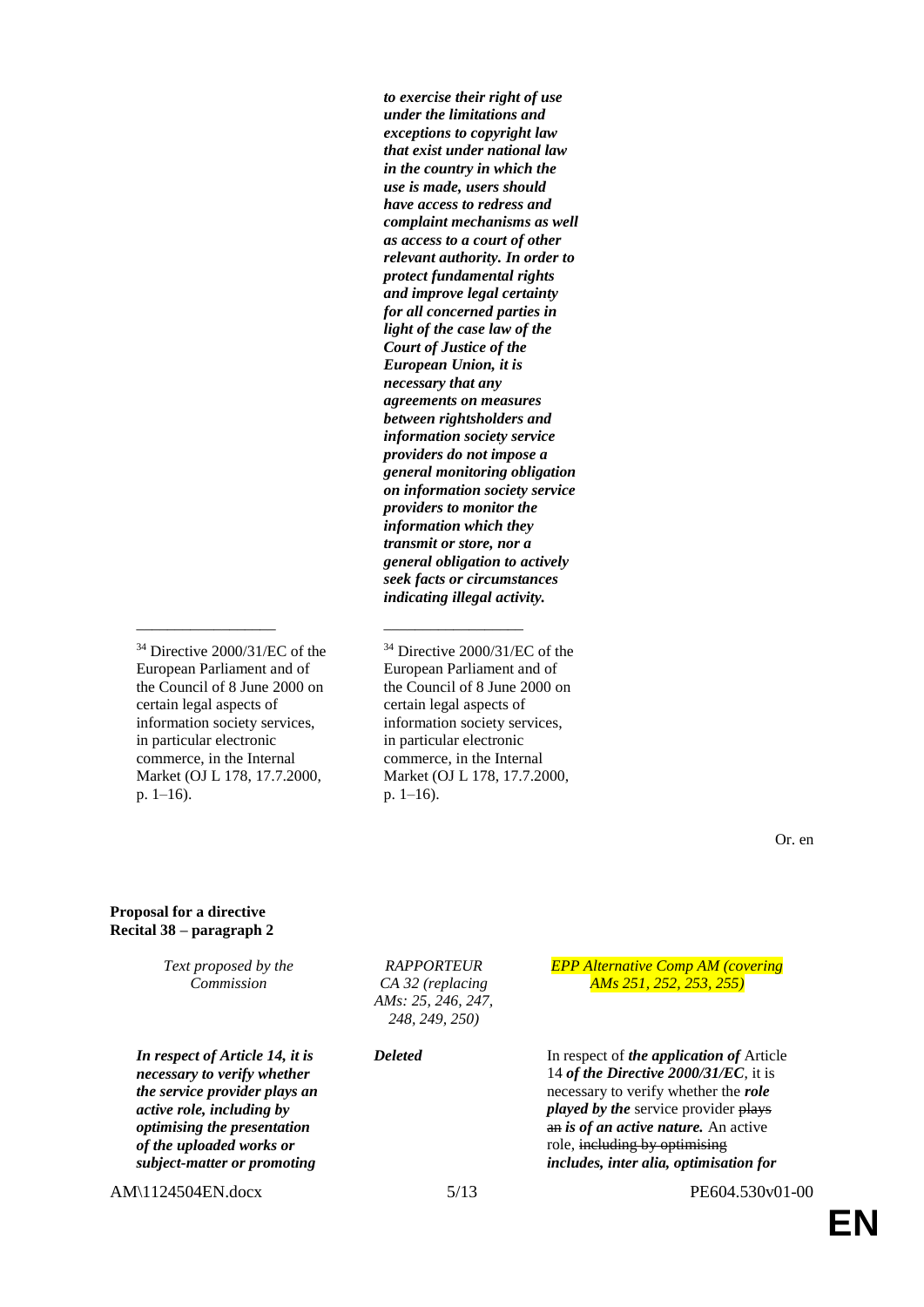*to exercise their right of use under the limitations and exceptions to copyright law that exist under national law in the country in which the use is made, users should have access to redress and complaint mechanisms as well as access to a court of other relevant authority. In order to protect fundamental rights and improve legal certainty for all concerned parties in light of the case law of the Court of Justice of the European Union, it is necessary that any agreements on measures between rightsholders and information society service providers do not impose a general monitoring obligation on information society service providers to monitor the information which they transmit or store, nor a general obligation to actively seek facts or circumstances indicating illegal activity.*

<sup>34</sup> Directive 2000/31/EC of the European Parliament and of the Council of 8 June 2000 on certain legal aspects of information society services, in particular electronic commerce, in the Internal Market (OJ L 178, 17.7.2000, p. 1–16).

\_\_\_\_\_\_\_\_\_\_\_\_\_\_\_\_\_\_ \_\_\_\_\_\_\_\_\_\_\_\_\_\_\_\_\_\_

<sup>34</sup> Directive 2000/31/EC of the European Parliament and of the Council of 8 June 2000 on certain legal aspects of information society services, in particular electronic commerce, in the Internal Market (OJ L 178, 17.7.2000, p. 1–16).

Or. en

#### **Proposal for a directive Recital 38 – paragraph 2**

| Text proposed by the<br>Commission                                                                                                                                                                                            | <b>RAPPORTEUR</b><br>CA 32 (replacing<br>AMs: 25, 246, 247,<br>248, 249, 250) | <b>EPP Alternative Comp AM (covering</b><br>AMs 251, 252, 253, 255)                                                                                                                                                                                                                                   |
|-------------------------------------------------------------------------------------------------------------------------------------------------------------------------------------------------------------------------------|-------------------------------------------------------------------------------|-------------------------------------------------------------------------------------------------------------------------------------------------------------------------------------------------------------------------------------------------------------------------------------------------------|
| In respect of Article 14, it is<br>necessary to verify whether<br>the service provider plays an<br>active role, including by<br><i>optimising the presentation</i><br>of the uploaded works or<br>subject-matter or promoting | <b>Deleted</b>                                                                | In respect of <i>the application of</i> Article<br>14 of the Directive $2000/31/EC$ , it is<br>necessary to verify whether the role<br><i>played by the service provider plays</i><br>an is of an active nature. An active<br>role, including by optimising<br>includes, inter alia, optimisation for |
| AM\1124504EN.docx                                                                                                                                                                                                             | 5/13                                                                          | PE604.530v01-00                                                                                                                                                                                                                                                                                       |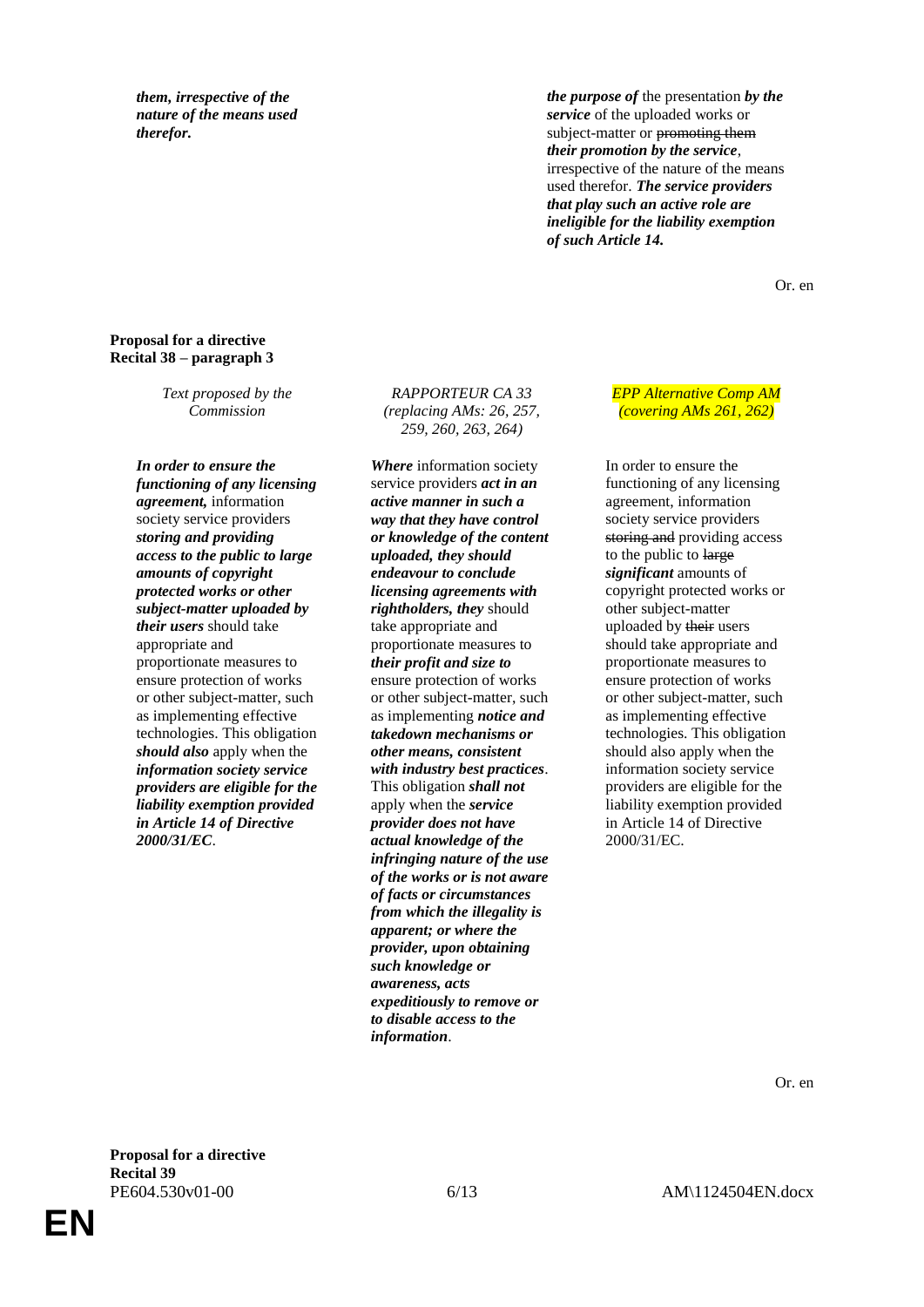*them, irrespective of the nature of the means used therefor.*

*the purpose of* the presentation *by the service* of the uploaded works or subject-matter or promoting them *their promotion by the service*, irrespective of the nature of the means used therefor. *The service providers that play such an active role are ineligible for the liability exemption of such Article 14.*

Or. en

# **Proposal for a directive Recital 38 – paragraph 3**

*Text proposed by the Commission*

*In order to ensure the functioning of any licensing agreement,* information society service providers *storing and providing access to the public to large amounts of copyright protected works or other subject-matter uploaded by their users* should take appropriate and proportionate measures to ensure protection of works or other subject-matter, such as implementing effective technologies. This obligation *should also* apply when the *information society service providers are eligible for the liability exemption provided in Article 14 of Directive 2000/31/EC*.

*RAPPORTEUR CA 33 (replacing AMs: 26, 257, 259, 260, 263, 264)* 

*Where* information society service providers *act in an active manner in such a way that they have control or knowledge of the content uploaded, they should endeavour to conclude licensing agreements with rightholders, they* should take appropriate and proportionate measures to *their profit and size to* ensure protection of works or other subject-matter, such as implementing *notice and takedown mechanisms or other means, consistent with industry best practices*. This obligation *shall not* apply when the *service provider does not have actual knowledge of the infringing nature of the use of the works or is not aware of facts or circumstances from which the illegality is apparent; or where the provider, upon obtaining such knowledge or awareness, acts expeditiously to remove or to disable access to the information*.

*EPP Alternative Comp AM (covering AMs 261, 262)*

In order to ensure the functioning of any licensing agreement, information society service providers storing and providing access to the public to large *significant* amounts of copyright protected works or other subject-matter uploaded by their users should take appropriate and proportionate measures to ensure protection of works or other subject-matter, such as implementing effective technologies. This obligation should also apply when the information society service providers are eligible for the liability exemption provided in Article 14 of Directive 2000/31/EC.

Or. en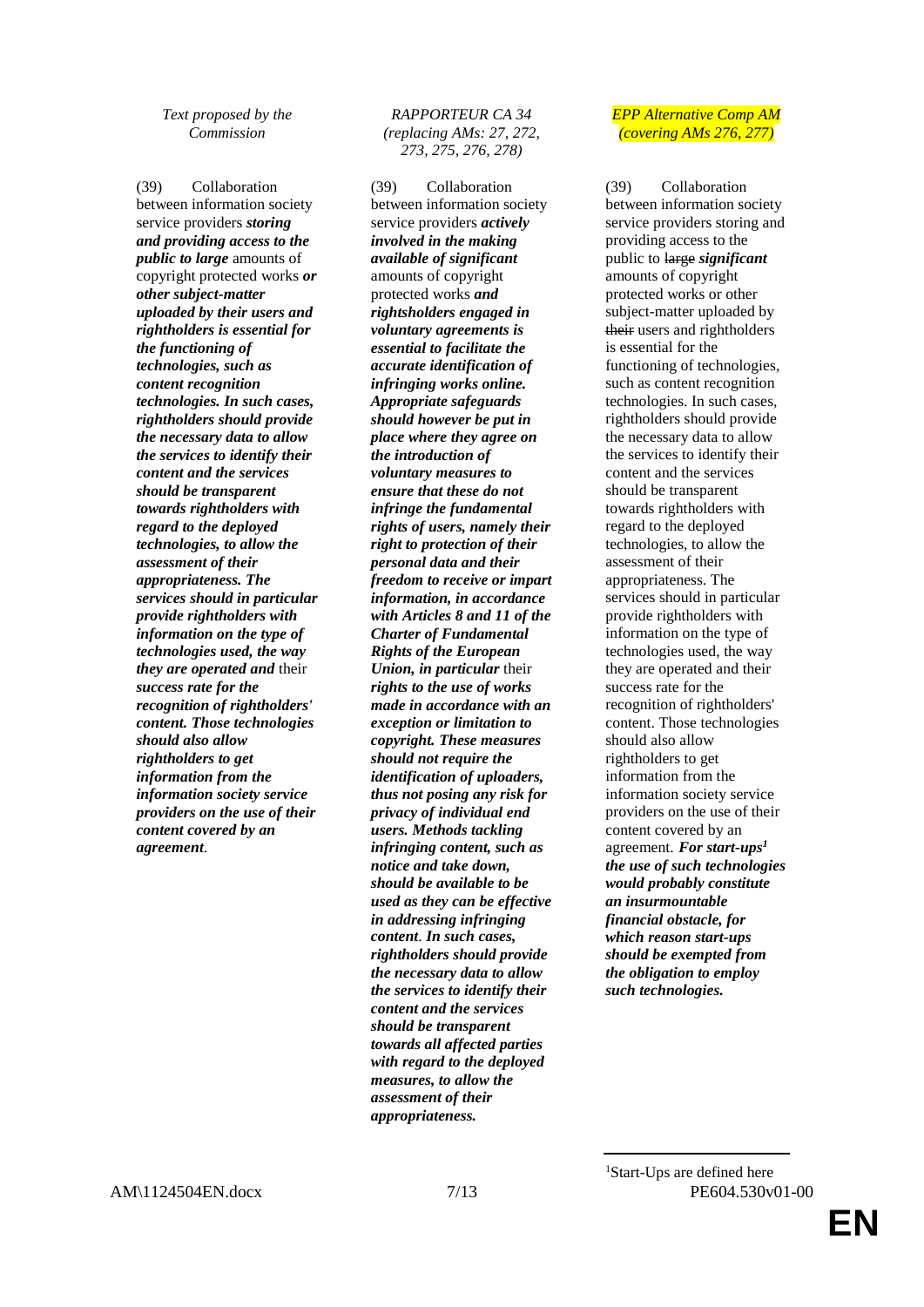*Text proposed by the Commission*

(39) Collaboration between information society service providers *storing and providing access to the public to large* amounts of copyright protected works *or other subject-matter uploaded by their users and rightholders is essential for the functioning of technologies, such as content recognition technologies. In such cases, rightholders should provide the necessary data to allow the services to identify their content and the services should be transparent towards rightholders with regard to the deployed technologies, to allow the assessment of their appropriateness. The services should in particular provide rightholders with information on the type of technologies used, the way they are operated and* their *success rate for the recognition of rightholders' content. Those technologies should also allow rightholders to get information from the information society service providers on the use of their content covered by an agreement*.

## *RAPPORTEUR CA 34 (replacing AMs: 27, 272, 273, 275, 276, 278)*

(39) Collaboration between information society service providers *actively involved in the making available of significant* amounts of copyright protected works *and rightsholders engaged in voluntary agreements is essential to facilitate the accurate identification of infringing works online. Appropriate safeguards should however be put in place where they agree on the introduction of voluntary measures to ensure that these do not infringe the fundamental rights of users, namely their right to protection of their personal data and their freedom to receive or impart information, in accordance with Articles 8 and 11 of the Charter of Fundamental Rights of the European Union, in particular* their *rights to the use of works made in accordance with an exception or limitation to copyright. These measures should not require the identification of uploaders, thus not posing any risk for privacy of individual end users. Methods tackling infringing content, such as notice and take down, should be available to be used as they can be effective in addressing infringing content*. *In such cases, rightholders should provide the necessary data to allow the services to identify their content and the services should be transparent towards all affected parties with regard to the deployed measures, to allow the assessment of their appropriateness.*

#### *EPP Alternative Comp AM (covering AMs 276, 277)*

(39) Collaboration between information society service providers storing and providing access to the public to large *significant* amounts of copyright protected works or other subject-matter uploaded by their users and rightholders is essential for the functioning of technologies, such as content recognition technologies. In such cases, rightholders should provide the necessary data to allow the services to identify their content and the services should be transparent towards rightholders with regard to the deployed technologies, to allow the assessment of their appropriateness. The services should in particular provide rightholders with information on the type of technologies used, the way they are operated and their success rate for the recognition of rightholders' content. Those technologies should also allow rightholders to get information from the information society service providers on the use of their content covered by an agreement. *For start-ups<sup>1</sup> the use of such technologies would probably constitute an insurmountable financial obstacle, for which reason start-ups should be exempted from the obligation to employ such technologies.*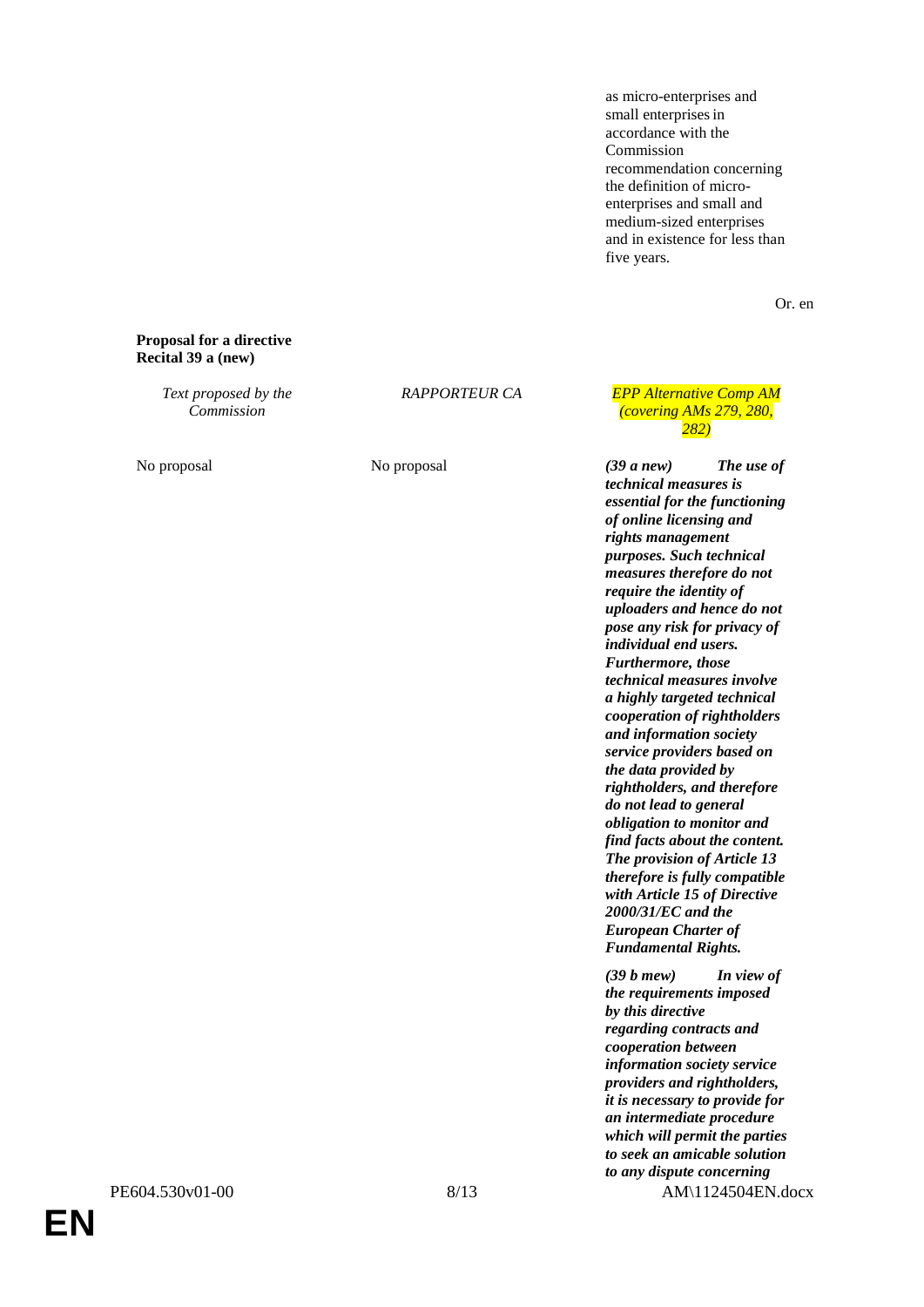as micro-enterprises and small enterprises in accordance with the Commission recommendation concerning the definition of microenterprises and small and medium-sized enterprises and in existence for less than five years.

Or. en

#### **Proposal for a directive Recital 39 a (new)**

*Text proposed by the Commission*

*RAPPORTEUR CA EPP Alternative Comp AM (covering AMs 279, 280, 282)*

No proposal **No proposal** *(39 a new) The use of C technical measures is essential for the functioning of online licensing and rights management purposes. Such technical measures therefore do not require the identity of uploaders and hence do not pose any risk for privacy of individual end users. Furthermore, those technical measures involve a highly targeted technical cooperation of rightholders and information society service providers based on the data provided by rightholders, and therefore do not lead to general obligation to monitor and find facts about the content. The provision of Article 13 therefore is fully compatible with Article 15 of Directive 2000/31/EC and the European Charter of Fundamental Rights.*

PE604.530v01-00 8/13 AM\1124504EN.docx *(39 b mew) In view of the requirements imposed by this directive regarding contracts and cooperation between information society service providers and rightholders, it is necessary to provide for an intermediate procedure which will permit the parties to seek an amicable solution to any dispute concerning*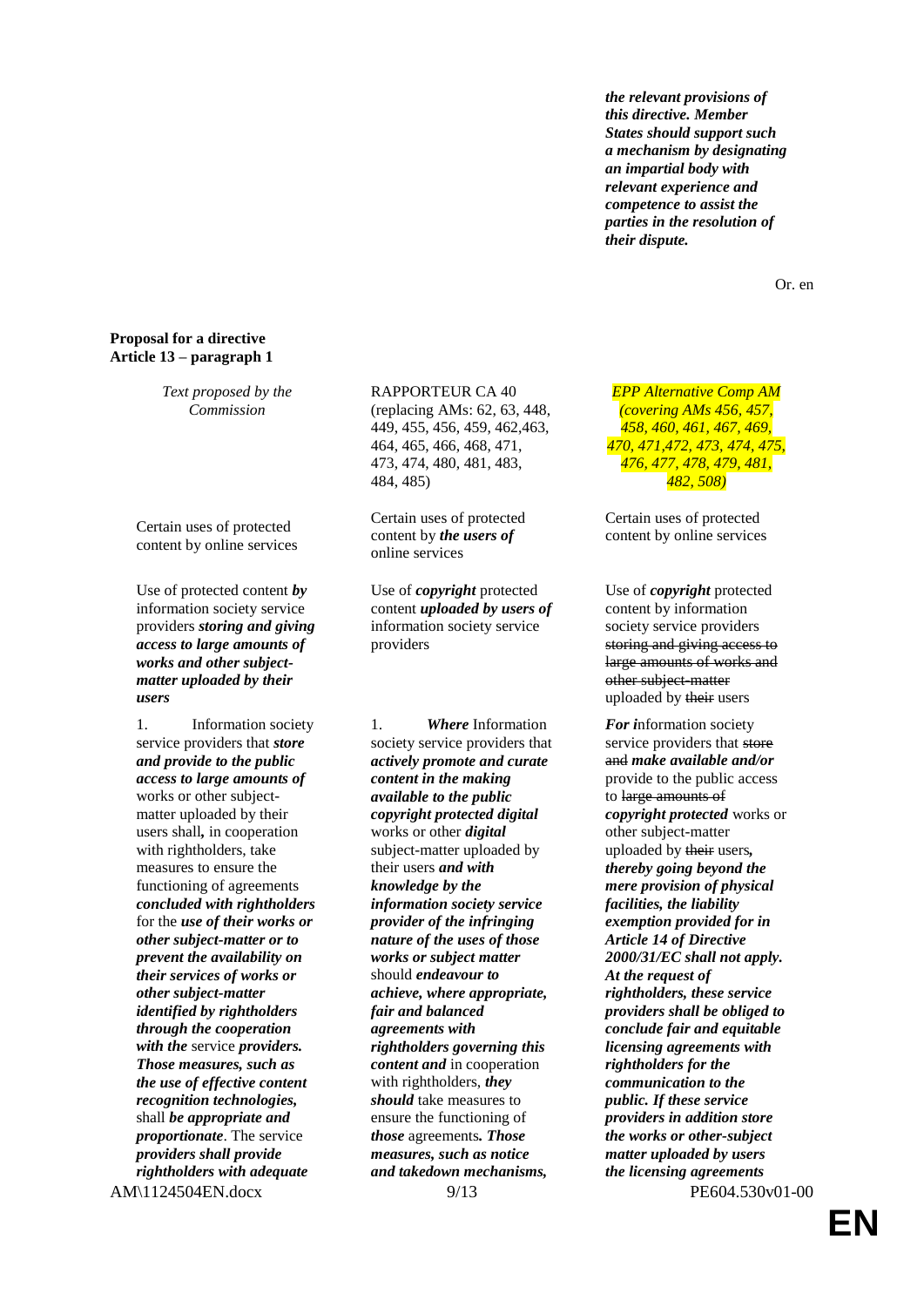*the relevant provisions of this directive. Member States should support such a mechanism by designating an impartial body with relevant experience and competence to assist the parties in the resolution of their dispute.*

Or. en

# **Proposal for a directive Article 13 – paragraph 1**

*Text proposed by the Commission*

Certain uses of protected content by online services

Use of protected content *by* information society service providers *storing and giving access to large amounts of works and other subjectmatter uploaded by their users*

1. Information society service providers that *store and provide to the public access to large amounts of* works or other subjectmatter uploaded by their users shall*,* in cooperation with rightholders, take measures to ensure the functioning of agreements *concluded with rightholders* for the *use of their works or other subject-matter or to prevent the availability on their services of works or other subject-matter identified by rightholders through the cooperation with the* service *providers. Those measures, such as the use of effective content recognition technologies,* shall *be appropriate and proportionate*. The service *providers shall provide rightholders with adequate* 

RAPPORTEUR CA 40 (replacing AMs: 62, 63, 448, 449, 455, 456, 459, 462,463, 464, 465, 466, 468, 471, 473, 474, 480, 481, 483, 484, 485)

Certain uses of protected content by *the users of* online services

Use of *copyright* protected content *uploaded by users of* information society service providers

1. *Where* Information society service providers that *actively promote and curate content in the making available to the public copyright protected digital* works or other *digital* subject-matter uploaded by their users *and with knowledge by the information society service provider of the infringing nature of the uses of those works or subject matter* should *endeavour to achieve, where appropriate, fair and balanced agreements with rightholders governing this content and* in cooperation with rightholders, *they should* take measures to ensure the functioning of *those* agreements*. Those measures, such as notice and takedown mechanisms,* 

*EPP Alternative Comp AM (covering AMs 456, 457, 458, 460, 461, 467, 469, 470, 471,472, 473, 474, 475, 476, 477, 478, 479, 481, 482, 508)*

Certain uses of protected content by online services

Use of *copyright* protected content by information society service providers storing and giving access to large amounts of works and other subject-matter uploaded by their users

AM\1124504EN.docx 9/13 PE604.530v01-00 *For i*nformation society service providers that store and *make available and/or* provide to the public access to large amounts of *copyright protected* works or other subject-matter uploaded by their users*, thereby going beyond the mere provision of physical facilities, the liability exemption provided for in Article 14 of Directive 2000/31/EC shall not apply. At the request of rightholders, these service providers shall be obliged to conclude fair and equitable licensing agreements with rightholders for the communication to the public. If these service providers in addition store the works or other-subject matter uploaded by users the licensing agreements*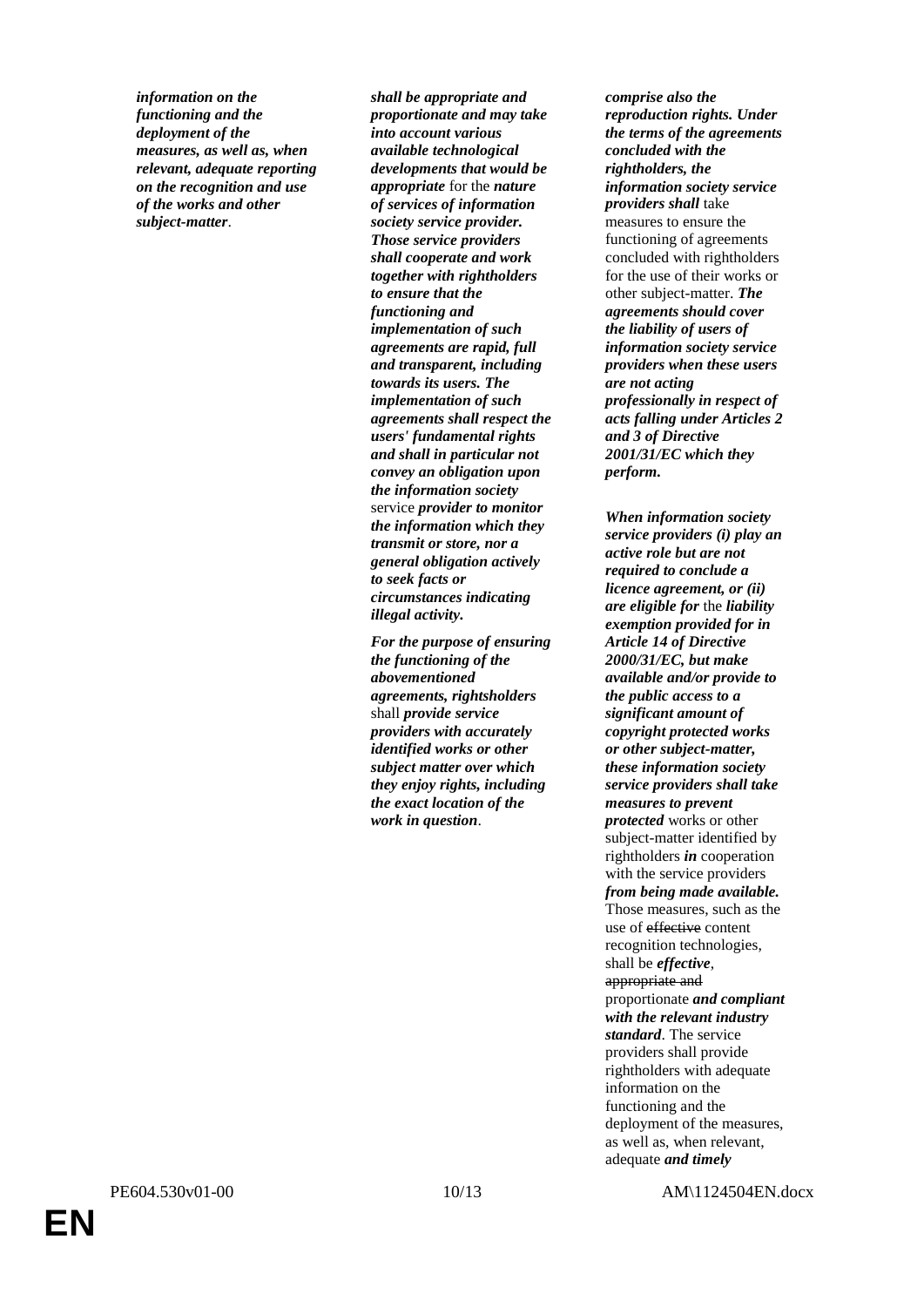*information on the functioning and the deployment of the measures, as well as, when relevant, adequate reporting on the recognition and use of the works and other subject-matter*.

*shall be appropriate and proportionate and may take into account various available technological developments that would be appropriate* for the *nature of services of information society service provider. Those service providers shall cooperate and work together with rightholders to ensure that the functioning and implementation of such agreements are rapid, full and transparent, including towards its users. The implementation of such agreements shall respect the users' fundamental rights and shall in particular not convey an obligation upon the information society* service *provider to monitor the information which they transmit or store, nor a general obligation actively to seek facts or circumstances indicating illegal activity.*

*For the purpose of ensuring the functioning of the abovementioned agreements, rightsholders* shall *provide service providers with accurately identified works or other subject matter over which they enjoy rights, including the exact location of the work in question*.

*comprise also the reproduction rights. Under the terms of the agreements concluded with the rightholders, the information society service providers shall* take measures to ensure the functioning of agreements concluded with rightholders for the use of their works or other subject-matter. *The agreements should cover the liability of users of information society service providers when these users are not acting professionally in respect of acts falling under Articles 2 and 3 of Directive 2001/31/EC which they perform.*

*When information society service providers (i) play an active role but are not required to conclude a licence agreement, or (ii) are eligible for* the *liability exemption provided for in Article 14 of Directive 2000/31/EC, but make available and/or provide to the public access to a significant amount of copyright protected works or other subject-matter, these information society service providers shall take measures to prevent protected* works or other subject-matter identified by rightholders *in* cooperation with the service providers *from being made available.* Those measures, such as the use of effective content recognition technologies, shall be *effective*, appropriate and proportionate *and compliant with the relevant industry standard*. The service providers shall provide rightholders with adequate information on the functioning and the deployment of the measures, as well as, when relevant, adequate *and timely*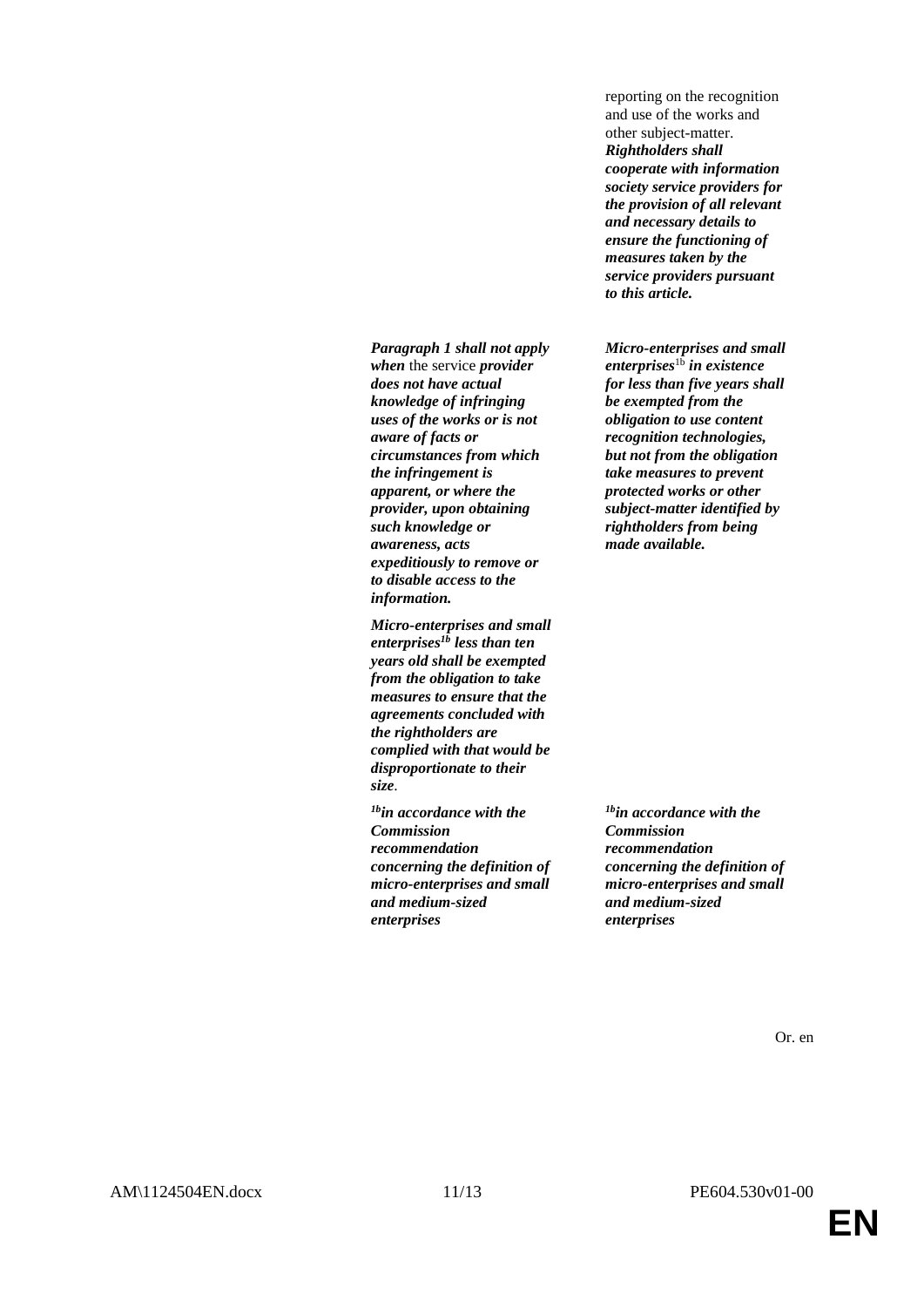*Paragraph 1 shall not apply when* the service *provider does not have actual knowledge of infringing uses of the works or is not aware of facts or circumstances from which the infringement is apparent, or where the provider, upon obtaining such knowledge or awareness, acts expeditiously to remove or to disable access to the information.*

*Micro-enterprises and small enterprises1b less than ten years old shall be exempted from the obligation to take measures to ensure that the agreements concluded with the rightholders are complied with that would be disproportionate to their size*.

*1bin accordance with the Commission recommendation concerning the definition of micro-enterprises and small and medium-sized enterprises*

reporting on the recognition and use of the works and other subject-matter. *Rightholders shall cooperate with information society service providers for the provision of all relevant and necessary details to ensure the functioning of measures taken by the service providers pursuant to this article.*

*Micro-enterprises and small enterprises*1b *in existence for less than five years shall be exempted from the obligation to use content recognition technologies, but not from the obligation take measures to prevent protected works or other subject-matter identified by rightholders from being made available.*

*1bin accordance with the Commission recommendation concerning the definition of micro-enterprises and small and medium-sized enterprises*

Or. en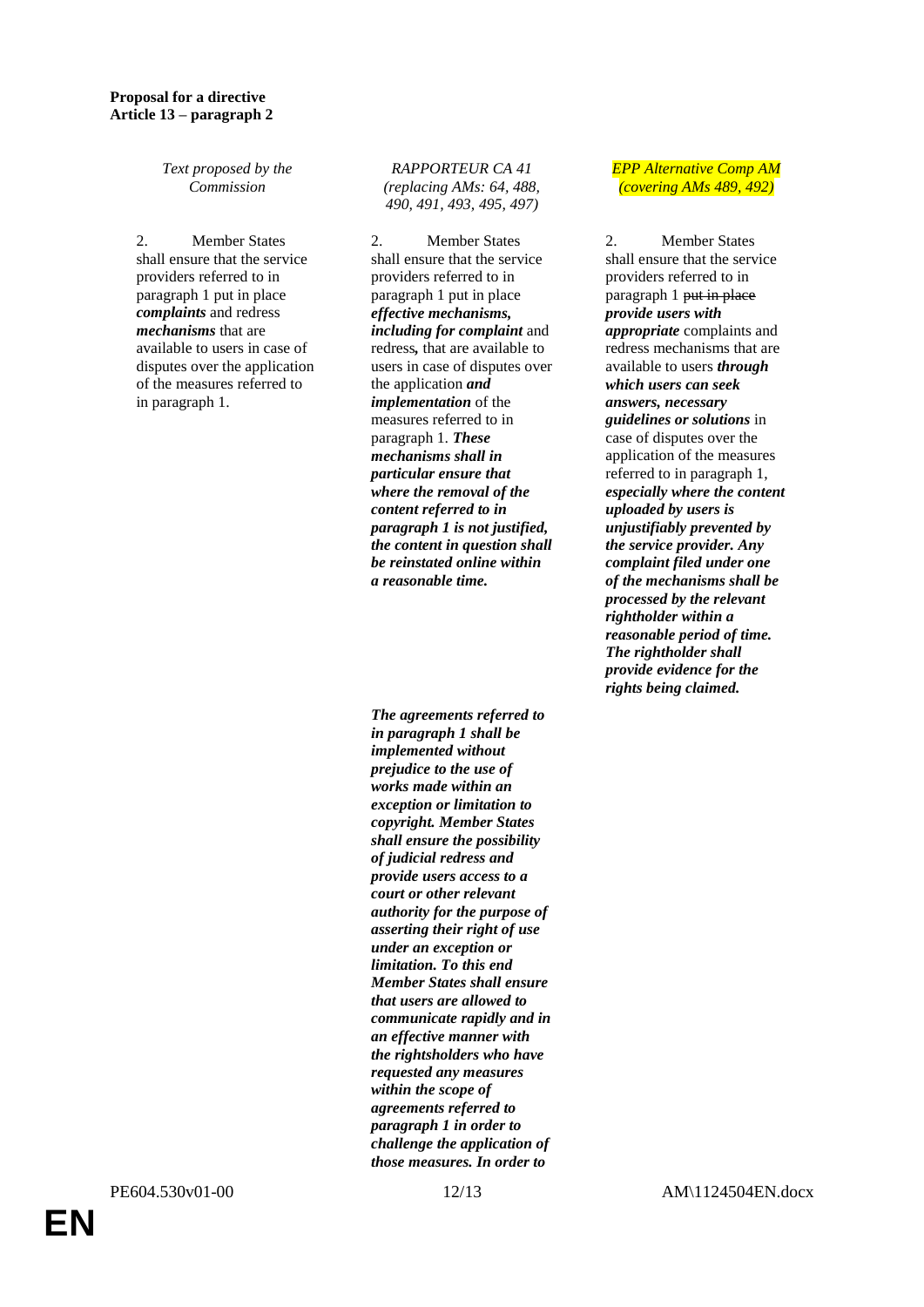*Text proposed by the Commission*

2. Member States shall ensure that the service providers referred to in paragraph 1 put in place *complaints* and redress *mechanisms* that are available to users in case of disputes over the application of the measures referred to in paragraph 1.

*RAPPORTEUR CA 41 (replacing AMs: 64, 488, 490, 491, 493, 495, 497)* 

2. Member States shall ensure that the service providers referred to in paragraph 1 put in place *effective mechanisms, including for complaint* and redress*,* that are available to users in case of disputes over the application *and implementation* of the measures referred to in paragraph 1. *These mechanisms shall in particular ensure that where the removal of the content referred to in paragraph 1 is not justified, the content in question shall be reinstated online within a reasonable time.*

*The agreements referred to in paragraph 1 shall be implemented without prejudice to the use of works made within an exception or limitation to copyright. Member States shall ensure the possibility of judicial redress and provide users access to a court or other relevant authority for the purpose of asserting their right of use under an exception or limitation. To this end Member States shall ensure that users are allowed to communicate rapidly and in an effective manner with the rightsholders who have requested any measures within the scope of agreements referred to paragraph 1 in order to challenge the application of those measures. In order to* 

# *EPP Alternative Comp AM (covering AMs 489, 492)*

2. Member States shall ensure that the service providers referred to in paragraph 1 put in place *provide users with appropriate* complaints and redress mechanisms that are available to users *through which users can seek answers, necessary guidelines or solutions* in case of disputes over the application of the measures referred to in paragraph 1, *especially where the content uploaded by users is unjustifiably prevented by the service provider. Any complaint filed under one of the mechanisms shall be processed by the relevant rightholder within a reasonable period of time. The rightholder shall provide evidence for the rights being claimed.*